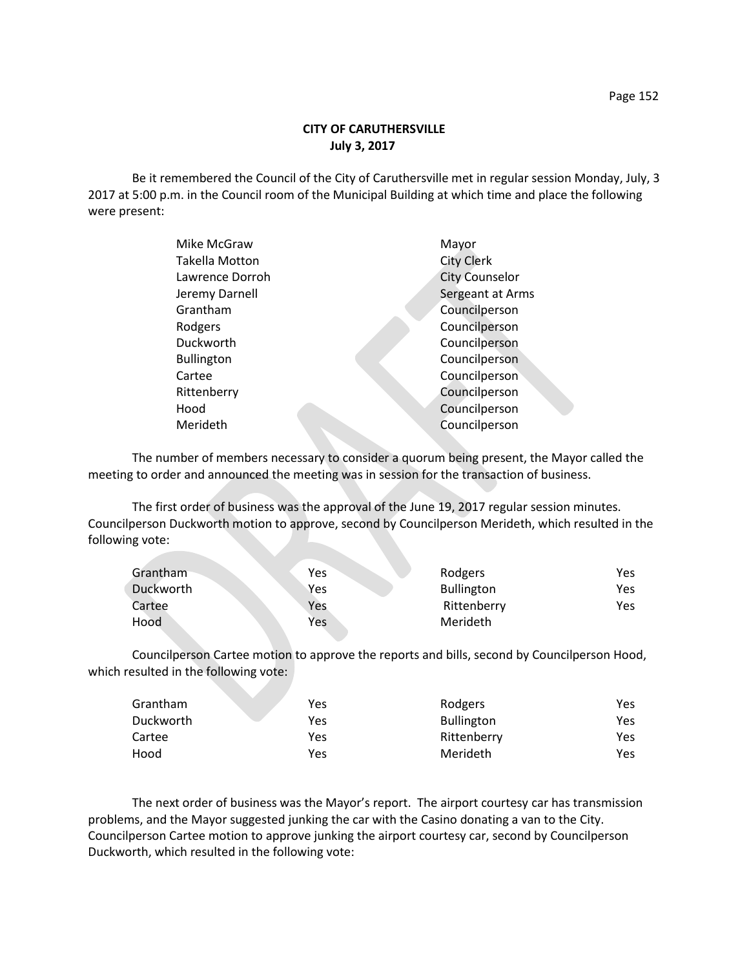Be it remembered the Council of the City of Caruthersville met in regular session Monday, July, 3 2017 at 5:00 p.m. in the Council room of the Municipal Building at which time and place the following were present:

| Mike McGraw       | Mayor                 |
|-------------------|-----------------------|
| Takella Motton    | <b>City Clerk</b>     |
| Lawrence Dorroh   | <b>City Counselor</b> |
| Jeremy Darnell    | Sergeant at Arms      |
| Grantham          | Councilperson         |
| Rodgers           | Councilperson         |
| Duckworth         | Councilperson         |
| <b>Bullington</b> | Councilperson         |
| Cartee            | Councilperson         |
| Rittenberry       | Councilperson         |
| Hood              | Councilperson         |
| Merideth          | Councilperson         |
|                   |                       |

The number of members necessary to consider a quorum being present, the Mayor called the meeting to order and announced the meeting was in session for the transaction of business.

The first order of business was the approval of the June 19, 2017 regular session minutes. Councilperson Duckworth motion to approve, second by Councilperson Merideth, which resulted in the following vote:

| Grantham  | <b>Yes</b> | Rodgers           | Yes  |
|-----------|------------|-------------------|------|
| Duckworth | Yes        | <b>Bullington</b> | Yes. |
| Cartee    | Yes        | Rittenberry       | Yes  |
| Hood      | Yes        | Merideth          |      |

Councilperson Cartee motion to approve the reports and bills, second by Councilperson Hood, which resulted in the following vote:

| Grantham  | Yes | Rodgers           | Yes  |
|-----------|-----|-------------------|------|
| Duckworth | Yes | <b>Bullington</b> | Yes. |
| Cartee    | Yes | Rittenberry       | Yes  |
| Hood      | Yes | Merideth          | Yes  |

The next order of business was the Mayor's report. The airport courtesy car has transmission problems, and the Mayor suggested junking the car with the Casino donating a van to the City. Councilperson Cartee motion to approve junking the airport courtesy car, second by Councilperson Duckworth, which resulted in the following vote: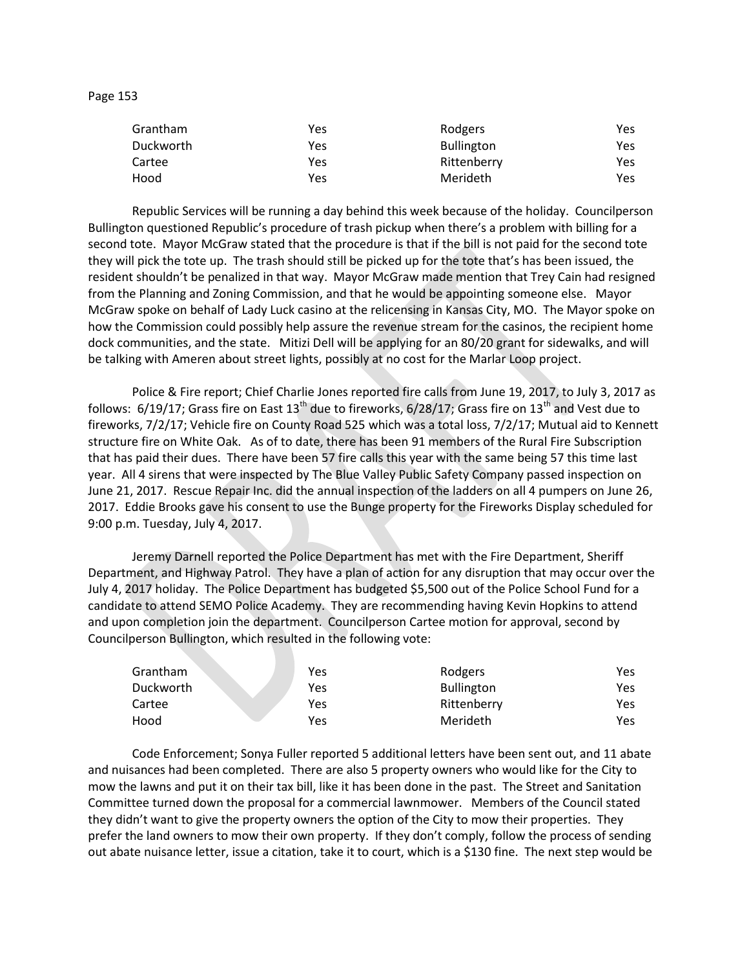| $\sim$<br>ιO<br>٠<br>. . |  |
|--------------------------|--|
|--------------------------|--|

| Grantham  | Yes | Rodgers           | Yes |
|-----------|-----|-------------------|-----|
| Duckworth | Yes | <b>Bullington</b> | Yes |
| Cartee    | Yes | Rittenberry       | Yes |
| Hood      | Yes | Merideth          | Yes |

Republic Services will be running a day behind this week because of the holiday. Councilperson Bullington questioned Republic's procedure of trash pickup when there's a problem with billing for a second tote. Mayor McGraw stated that the procedure is that if the bill is not paid for the second tote they will pick the tote up. The trash should still be picked up for the tote that's has been issued, the resident shouldn't be penalized in that way. Mayor McGraw made mention that Trey Cain had resigned from the Planning and Zoning Commission, and that he would be appointing someone else. Mayor McGraw spoke on behalf of Lady Luck casino at the relicensing in Kansas City, MO. The Mayor spoke on how the Commission could possibly help assure the revenue stream for the casinos, the recipient home dock communities, and the state. Mitizi Dell will be applying for an 80/20 grant for sidewalks, and will be talking with Ameren about street lights, possibly at no cost for the Marlar Loop project.

Police & Fire report; Chief Charlie Jones reported fire calls from June 19, 2017, to July 3, 2017 as follows:  $6/19/17$ ; Grass fire on East  $13<sup>th</sup>$  due to fireworks,  $6/28/17$ ; Grass fire on  $13<sup>th</sup>$  and Vest due to fireworks, 7/2/17; Vehicle fire on County Road 525 which was a total loss, 7/2/17; Mutual aid to Kennett structure fire on White Oak. As of to date, there has been 91 members of the Rural Fire Subscription that has paid their dues. There have been 57 fire calls this year with the same being 57 this time last year. All 4 sirens that were inspected by The Blue Valley Public Safety Company passed inspection on June 21, 2017. Rescue Repair Inc. did the annual inspection of the ladders on all 4 pumpers on June 26, 2017. Eddie Brooks gave his consent to use the Bunge property for the Fireworks Display scheduled for 9:00 p.m. Tuesday, July 4, 2017.

Jeremy Darnell reported the Police Department has met with the Fire Department, Sheriff Department, and Highway Patrol. They have a plan of action for any disruption that may occur over the July 4, 2017 holiday. The Police Department has budgeted \$5,500 out of the Police School Fund for a candidate to attend SEMO Police Academy. They are recommending having Kevin Hopkins to attend and upon completion join the department. Councilperson Cartee motion for approval, second by Councilperson Bullington, which resulted in the following vote:

| Grantham  | Yes | Rodgers           | Yes |
|-----------|-----|-------------------|-----|
| Duckworth | Yes | <b>Bullington</b> | Yes |
| Cartee    | Yes | Rittenberry       | Yes |
| Hood      | Yes | Merideth          | Yes |

Code Enforcement; Sonya Fuller reported 5 additional letters have been sent out, and 11 abate and nuisances had been completed. There are also 5 property owners who would like for the City to mow the lawns and put it on their tax bill, like it has been done in the past. The Street and Sanitation Committee turned down the proposal for a commercial lawnmower. Members of the Council stated they didn't want to give the property owners the option of the City to mow their properties. They prefer the land owners to mow their own property. If they don't comply, follow the process of sending out abate nuisance letter, issue a citation, take it to court, which is a \$130 fine. The next step would be